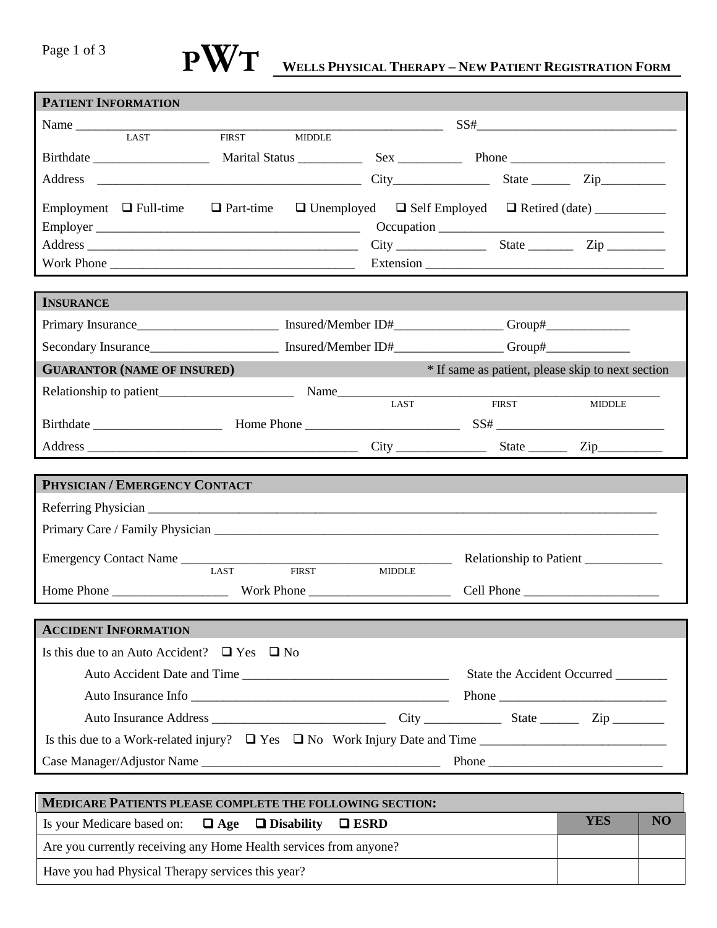# Page 1 of 3

## **WELLS PHYSICAL THERAPY – NEW PATIENT REGISTRATION FORM PWT**

| <b>PATIENT INFORMATION</b>                                                           |                             |                                                                                                                       |                                                   |                                   |  |
|--------------------------------------------------------------------------------------|-----------------------------|-----------------------------------------------------------------------------------------------------------------------|---------------------------------------------------|-----------------------------------|--|
|                                                                                      |                             | <u> 1989 - Johann Barn, mars and de Branch Barn, mars and de Branch Barn, mars and de Branch Barn, mars and de Br</u> |                                                   | $SS# \underbrace{\qquad \qquad }$ |  |
| <b>LAST</b>                                                                          | FIRST MIDDLE                |                                                                                                                       |                                                   |                                   |  |
|                                                                                      |                             |                                                                                                                       |                                                   |                                   |  |
| Address                                                                              | $City$ State $Zip$          |                                                                                                                       |                                                   |                                   |  |
|                                                                                      |                             |                                                                                                                       |                                                   |                                   |  |
|                                                                                      |                             |                                                                                                                       |                                                   |                                   |  |
|                                                                                      |                             |                                                                                                                       |                                                   |                                   |  |
|                                                                                      |                             |                                                                                                                       |                                                   |                                   |  |
|                                                                                      |                             |                                                                                                                       |                                                   |                                   |  |
| <b>INSURANCE</b>                                                                     |                             |                                                                                                                       |                                                   |                                   |  |
|                                                                                      |                             |                                                                                                                       |                                                   |                                   |  |
|                                                                                      |                             |                                                                                                                       |                                                   |                                   |  |
| <b>GUARANTOR (NAME OF INSURED)</b>                                                   |                             |                                                                                                                       | * If same as patient, please skip to next section |                                   |  |
|                                                                                      |                             |                                                                                                                       |                                                   |                                   |  |
|                                                                                      |                             | <b>LAST</b>                                                                                                           | <b>FIRST</b>                                      | <b>MIDDLE</b>                     |  |
|                                                                                      |                             |                                                                                                                       |                                                   |                                   |  |
|                                                                                      |                             |                                                                                                                       |                                                   |                                   |  |
|                                                                                      |                             |                                                                                                                       |                                                   |                                   |  |
|                                                                                      |                             |                                                                                                                       |                                                   |                                   |  |
| PHYSICIAN / EMERGENCY CONTACT                                                        |                             |                                                                                                                       |                                                   |                                   |  |
|                                                                                      |                             |                                                                                                                       |                                                   |                                   |  |
|                                                                                      |                             |                                                                                                                       |                                                   |                                   |  |
| Emergency Contact Name                                                               |                             | <u>a sa basan</u>                                                                                                     | Relationship to Patient                           |                                   |  |
|                                                                                      | LAST<br><b>FIRST</b>        | <b>MIDDLE</b>                                                                                                         |                                                   |                                   |  |
|                                                                                      |                             |                                                                                                                       |                                                   |                                   |  |
|                                                                                      |                             |                                                                                                                       |                                                   |                                   |  |
| <b>ACCIDENT INFORMATION</b>                                                          |                             |                                                                                                                       |                                                   |                                   |  |
| Is this due to an Auto Accident? $\Box$ Yes $\Box$ No                                |                             |                                                                                                                       |                                                   |                                   |  |
|                                                                                      | Auto Accident Date and Time |                                                                                                                       |                                                   | State the Accident Occurred       |  |
|                                                                                      | Auto Insurance Info         |                                                                                                                       |                                                   |                                   |  |
|                                                                                      |                             |                                                                                                                       |                                                   |                                   |  |
| Is this due to a Work-related injury? $\Box$ Yes $\Box$ No Work Injury Date and Time |                             |                                                                                                                       |                                                   |                                   |  |
| Case Manager/Adjustor Name                                                           |                             |                                                                                                                       |                                                   |                                   |  |
| <b>MEDICARE PATIENTS PLEASE COMPLETE THE FOLLOWING SECTION:</b>                      |                             |                                                                                                                       |                                                   |                                   |  |

Is your Medicare based on: **Age Disability ESRD YES NO** Are you currently receiving any Home Health services from anyone? Have you had Physical Therapy services this year?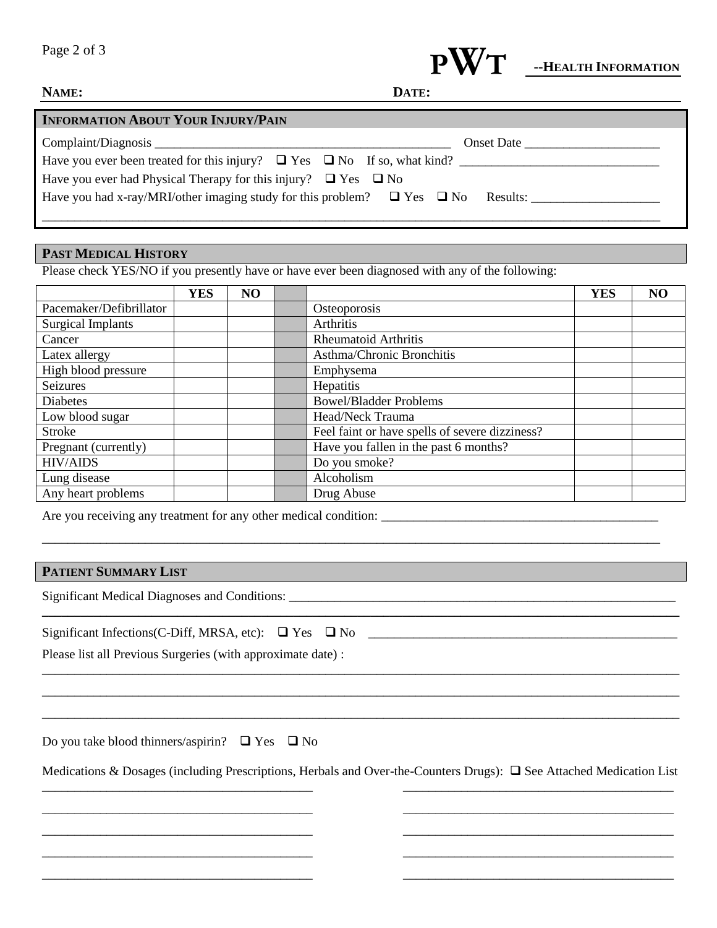

| NAME: | DATE: |
|-------|-------|
|       |       |

| <b>INFORMATION ABOUT YOUR INJURY/PAIN</b>                                                  |            |
|--------------------------------------------------------------------------------------------|------------|
|                                                                                            | Onset Date |
| Have you ever been treated for this injury? $\Box$ Yes $\Box$ No If so, what kind?         |            |
| Have you ever had Physical Therapy for this injury? $\Box$ Yes $\Box$ No                   |            |
| Have you had x-ray/MRI/other imaging study for this problem? $\Box$ Yes $\Box$ No Results: |            |
|                                                                                            |            |

### **PAST MEDICAL HISTORY**

Please check YES/NO if you presently have or have ever been diagnosed with any of the following:

|                          | <b>YES</b> | NO |                                                | <b>YES</b> | NO |
|--------------------------|------------|----|------------------------------------------------|------------|----|
| Pacemaker/Defibrillator  |            |    | Osteoporosis                                   |            |    |
| <b>Surgical Implants</b> |            |    | <b>Arthritis</b>                               |            |    |
| Cancer                   |            |    | Rheumatoid Arthritis                           |            |    |
| Latex allergy            |            |    | Asthma/Chronic Bronchitis                      |            |    |
| High blood pressure      |            |    | Emphysema                                      |            |    |
| Seizures                 |            |    | Hepatitis                                      |            |    |
| <b>Diabetes</b>          |            |    | <b>Bowel/Bladder Problems</b>                  |            |    |
| Low blood sugar          |            |    | Head/Neck Trauma                               |            |    |
| <b>Stroke</b>            |            |    | Feel faint or have spells of severe dizziness? |            |    |
| Pregnant (currently)     |            |    | Have you fallen in the past 6 months?          |            |    |
| <b>HIV/AIDS</b>          |            |    | Do you smoke?                                  |            |    |
| Lung disease             |            |    | Alcoholism                                     |            |    |
| Any heart problems       |            |    | Drug Abuse                                     |            |    |

\_\_\_\_\_\_\_\_\_\_\_\_\_\_\_\_\_\_\_\_\_\_\_\_\_\_\_\_\_\_\_\_\_\_\_\_\_\_\_\_\_\_\_\_\_\_\_\_\_\_\_\_\_\_\_\_\_\_\_\_\_\_\_\_\_\_\_\_\_\_\_\_\_\_\_\_\_\_\_\_\_\_\_\_\_\_\_\_\_\_\_\_\_\_\_\_

Are you receiving any treatment for any other medical condition: \_\_\_\_\_\_\_\_\_\_\_\_\_\_\_\_\_\_\_\_\_\_\_\_\_\_\_\_\_\_\_\_\_\_\_\_\_\_\_\_\_\_\_

#### **PATIENT SUMMARY LIST**

Significant Medical Diagnoses and Conditions: \_\_\_\_\_\_\_\_\_\_\_\_\_\_\_\_\_\_\_\_\_\_\_\_\_\_\_\_\_\_\_\_\_\_\_\_\_\_\_\_\_\_\_\_\_\_\_\_\_\_\_\_\_\_\_\_\_\_\_\_

| Significant Infections (C-Diff, MRSA, etc): $\Box$ Yes $\Box$ No |  |  |
|------------------------------------------------------------------|--|--|
|------------------------------------------------------------------|--|--|

Please list all Previous Surgeries (with approximate date) :

Do you take blood thinners/aspirin?  $\Box$  Yes  $\Box$  No

\_\_\_\_\_\_\_\_\_\_\_\_\_\_\_\_\_\_\_\_\_\_\_\_\_\_\_\_\_\_\_\_\_\_\_\_\_\_\_\_\_\_ \_\_\_\_\_\_\_\_\_\_\_\_\_\_\_\_\_\_\_\_\_\_\_\_\_\_\_\_\_\_\_\_\_\_\_\_\_\_\_\_\_\_ \_\_\_\_\_\_\_\_\_\_\_\_\_\_\_\_\_\_\_\_\_\_\_\_\_\_\_\_\_\_\_\_\_\_\_\_\_\_\_\_\_\_ \_\_\_\_\_\_\_\_\_\_\_\_\_\_\_\_\_\_\_\_\_\_\_\_\_\_\_\_\_\_\_\_\_\_\_\_\_\_\_\_\_\_ \_\_\_\_\_\_\_\_\_\_\_\_\_\_\_\_\_\_\_\_\_\_\_\_\_\_\_\_\_\_\_\_\_\_\_\_\_\_\_\_\_\_

Medications & Dosages (including Prescriptions, Herbals and Over-the-Counters Drugs):  $\Box$  See Attached Medication List

\_\_\_\_\_\_\_\_\_\_\_\_\_\_\_\_\_\_\_\_\_\_\_\_\_\_\_\_\_\_\_\_\_\_\_\_\_\_\_\_\_\_ \_\_\_\_\_\_\_\_\_\_\_\_\_\_\_\_\_\_\_\_\_\_\_\_\_\_\_\_\_\_\_\_\_\_\_\_\_\_\_\_\_\_ \_\_\_\_\_\_\_\_\_\_\_\_\_\_\_\_\_\_\_\_\_\_\_\_\_\_\_\_\_\_\_\_\_\_\_\_\_\_\_\_\_\_ \_\_\_\_\_\_\_\_\_\_\_\_\_\_\_\_\_\_\_\_\_\_\_\_\_\_\_\_\_\_\_\_\_\_\_\_\_\_\_\_\_\_ \_\_\_\_\_\_\_\_\_\_\_\_\_\_\_\_\_\_\_\_\_\_\_\_\_\_\_\_\_\_\_\_\_\_\_\_\_\_\_\_\_\_

\_\_\_\_\_\_\_\_\_\_\_\_\_\_\_\_\_\_\_\_\_\_\_\_\_\_\_\_\_\_\_\_\_\_\_\_\_\_\_\_\_\_\_\_\_\_\_\_\_\_\_\_\_\_\_\_\_\_\_\_\_\_\_\_\_\_\_\_\_\_\_\_\_\_\_\_\_\_\_\_\_\_\_\_\_\_\_\_\_\_\_\_\_\_\_\_\_\_\_ \_\_\_\_\_\_\_\_\_\_\_\_\_\_\_\_\_\_\_\_\_\_\_\_\_\_\_\_\_\_\_\_\_\_\_\_\_\_\_\_\_\_\_\_\_\_\_\_\_\_\_\_\_\_\_\_\_\_\_\_\_\_\_\_\_\_\_\_\_\_\_\_\_\_\_\_\_\_\_\_\_\_\_\_\_\_\_\_\_\_\_\_\_\_\_\_\_\_\_ \_\_\_\_\_\_\_\_\_\_\_\_\_\_\_\_\_\_\_\_\_\_\_\_\_\_\_\_\_\_\_\_\_\_\_\_\_\_\_\_\_\_\_\_\_\_\_\_\_\_\_\_\_\_\_\_\_\_\_\_\_\_\_\_\_\_\_\_\_\_\_\_\_\_\_\_\_\_\_\_\_\_\_\_\_\_\_\_\_\_\_\_\_\_\_\_\_\_\_